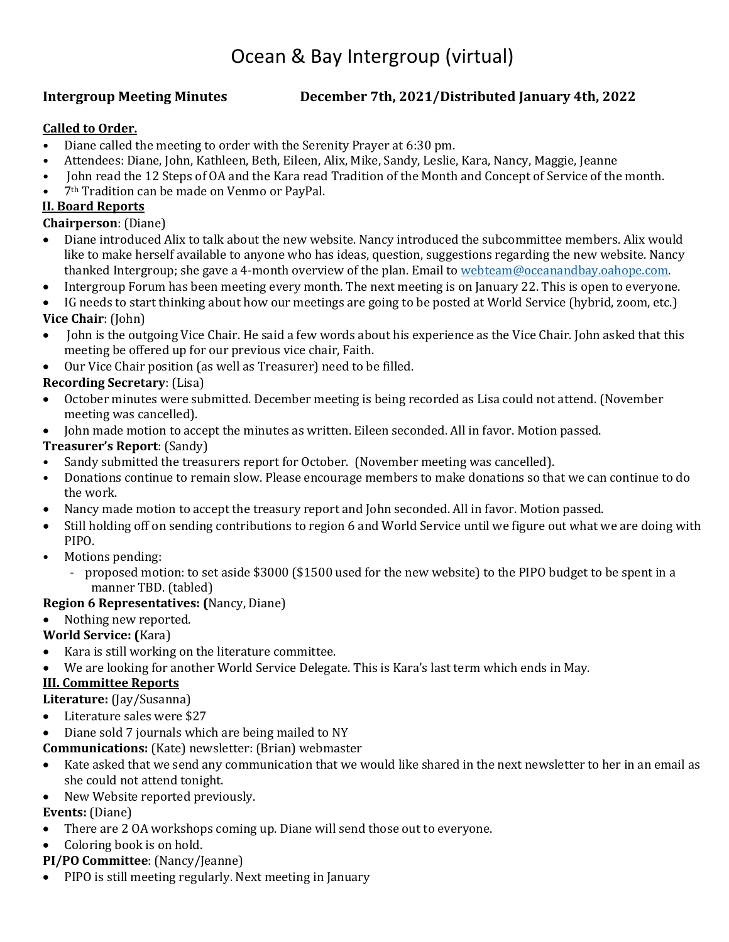# Ocean & Bay Intergroup (virtual)

### **Intergroup Meeting Minutes December 7th, 2021/Distributed January 4th, 2022**

#### **Called to Order.**

- Diane called the meeting to order with the Serenity Prayer at 6:30 pm.
- Attendees: Diane, John, Kathleen, Beth, Eileen, Alix, Mike, Sandy, Leslie, Kara, Nancy, Maggie, Jeanne
- John read the 12 Steps of OA and the Kara read Tradition of the Month and Concept of Service of the month.
- 7th Tradition can be made on Venmo or PayPal.

### **II. Board Reports**

**Chairperson**: (Diane)

- Diane introduced Alix to talk about the new website. Nancy introduced the subcommittee members. Alix would like to make herself available to anyone who has ideas, question, suggestions regarding the new website. Nancy thanked Intergroup; she gave a 4-month overview of the plan. Email to [webteam@oceanandbay.oahope.com.](mailto:webteam@oceanandbay.oahope.com)
- Intergroup Forum has been meeting every month. The next meeting is on January 22. This is open to everyone.
- IG needs to start thinking about how our meetings are going to be posted at World Service (hybrid, zoom, etc.) **Vice Chair**: (John)
- John is the outgoing Vice Chair. He said a few words about his experience as the Vice Chair. John asked that this meeting be offered up for our previous vice chair, Faith.
- Our Vice Chair position (as well as Treasurer) need to be filled.

# **Recording Secretary**: (Lisa)

- October minutes were submitted. December meeting is being recorded as Lisa could not attend. (November meeting was cancelled).
- John made motion to accept the minutes as written. Eileen seconded. All in favor. Motion passed.

# **Treasurer's Report**: (Sandy)

- Sandy submitted the treasurers report for October. (November meeting was cancelled).<br>• Donations continue to remain slow. Please encourage members to make donations so tha
- Donations continue to remain slow. Please encourage members to make donations so that we can continue to do the work.
- Nancy made motion to accept the treasury report and John seconded. All in favor. Motion passed.
- Still holding off on sending contributions to region 6 and World Service until we figure out what we are doing with PIPO.
- Motions pending:
	- proposed motion: to set aside \$3000 (\$1500 used for the new website) to the PIPO budget to be spent in a manner TBD. (tabled)

#### **Region 6 Representatives: (**Nancy, Diane)

• Nothing new reported.

# **World Service: (**Kara)

- Kara is still working on the literature committee.
- We are looking for another World Service Delegate. This is Kara's last term which ends in May.

# **III. Committee Reports**

**Literature:** (Jay/Susanna)

- Literature sales were \$27
- Diane sold 7 journals which are being mailed to NY

#### **Communications:** (Kate) newsletter: (Brian) webmaster

- Kate asked that we send any communication that we would like shared in the next newsletter to her in an email as she could not attend tonight.
- New Website reported previously.

#### **Events:** (Diane)

- There are 2 OA workshops coming up. Diane will send those out to everyone.
- Coloring book is on hold.
- **PI/PO Committee**: (Nancy/Jeanne)
- PIPO is still meeting regularly. Next meeting in January